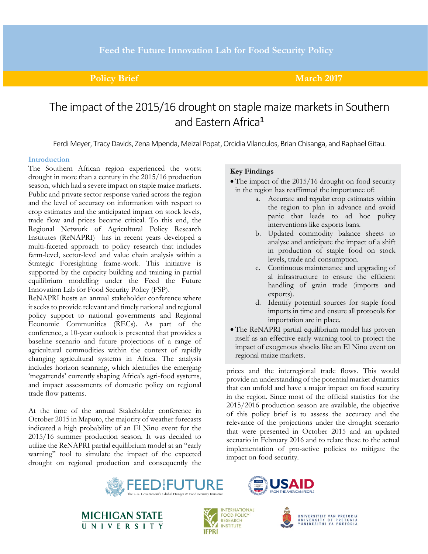### **Policy Brief March 2017**

# The impact of the 2015/16 drought on staple maize markets in Southern and Eastern Africa<sup>1</sup>

Ferdi Meyer, Tracy Davids, Zena Mpenda, Meizal Popat, Orcidia Vilanculos, Brian Chisanga, and Raphael Gitau.

#### **Introduction**

The Southern African region experienced the worst drought in more than a century in the 2015/16 production season, which had a severe impact on staple maize markets. Public and private sector response varied across the region and the level of accuracy on information with respect to crop estimates and the anticipated impact on stock levels, trade flow and prices became critical. To this end, the Regional Network of Agricultural Policy Research Institutes (ReNAPRI) has in recent years developed a multi-faceted approach to policy research that includes farm-level, sector-level and value chain analysis within a Strategic Foresighting frame-work. This initiative is supported by the capacity building and training in partial equilibrium modelling under the Feed the Future Innovation Lab for Food Security Policy (FSP).

ReNAPRI hosts an annual stakeholder conference where it seeks to provide relevant and timely national and regional policy support to national governments and Regional Economic Communities (RECs). As part of the conference, a 10-year outlook is presented that provides a baseline scenario and future projections of a range of agricultural commodities within the context of rapidly changing agricultural systems in Africa. The analysis includes horizon scanning, which identifies the emerging 'megatrends' currently shaping Africa's agri-food systems, and impact assessments of domestic policy on regional trade flow patterns.

At the time of the annual Stakeholder conference in October 2015 in Maputo, the majority of weather forecasts indicated a high probability of an El Nino event for the 2015/16 summer production season. It was decided to utilize the ReNAPRI partial equilibrium model at an "early warning" tool to simulate the impact of the expected drought on regional production and consequently the

#### **Key Findings**

- The impact of the 2015/16 drought on food security in the region has reaffirmed the importance of:
	- a. Accurate and regular crop estimates within the region to plan in advance and avoid panic that leads to ad hoc policy interventions like exports bans.
	- b. Updated commodity balance sheets to analyse and anticipate the impact of a shift in production of staple food on stock levels, trade and consumption.
	- c. Continuous maintenance and upgrading of al infrastructure to ensure the efficient handling of grain trade (imports and exports).
	- d. Identify potential sources for staple food imports in time and ensure all protocols for importation are in place.
- The ReNAPRI partial equilibrium model has proven itself as an effective early warning tool to project the impact of exogenous shocks like an El Nino event on regional maize markets.

prices and the interregional trade flows. This would provide an understanding of the potential market dynamics that can unfold and have a major impact on food security in the region. Since most of the official statistics for the 2015/2016 production season are available, the objective of this policy brief is to assess the accuracy and the relevance of the projections under the drought scenario that were presented in October 2015 and an updated scenario in February 2016 and to relate these to the actual implementation of pro-active policies to mitigate the impact on food security.









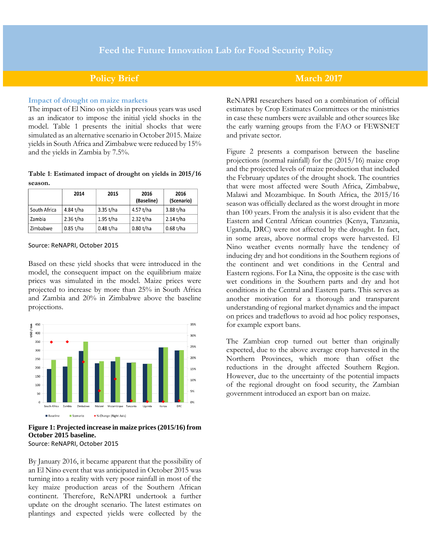### **Policy Brief March 2017**

#### **Impact of drought on maize markets**

The impact of El Nino on yields in previous years was used as an indicator to impose the initial yield shocks in the model. Table 1 presents the initial shocks that were simulated as an alternative scenario in October 2015. Maize yields in South Africa and Zimbabwe were reduced by 15% and the yields in Zambia by 7.5%.

### **Table 1**: **Estimated impact of drought on yields in 2015/16 season.**

|              | 2014        | 2015        | 2016<br>(Baseline) | 2016<br>(Scenario) |
|--------------|-------------|-------------|--------------------|--------------------|
| South Africa | 4.84 t/ha   | 3.35 t/ha   | 4.57 t/ha          | 3.88 t/ha          |
| Zambia       | $2.36$ t/ha | $1.95$ t/ha | 2.32 t/ha          | $2.14$ t/ha        |
| Zimbabwe     | $0.85$ t/ha | $0.48$ t/ha | $0.80$ t/ha        | $0.68$ t/ha        |

#### Source: ReNAPRI, October 2015

Based on these yield shocks that were introduced in the model, the consequent impact on the equilibrium maize prices was simulated in the model. Maize prices were projected to increase by more than 25% in South Africa and Zambia and 20% in Zimbabwe above the baseline projections.



#### **Figure 1: Projected increase in maize prices (2015/16) from October 2015 baseline.** Source: ReNAPRI, October 2015

By January 2016, it became apparent that the possibility of an El Nino event that was anticipated in October 2015 was turning into a reality with very poor rainfall in most of the key maize production areas of the Southern African continent. Therefore, ReNAPRI undertook a further update on the drought scenario. The latest estimates on plantings and expected yields were collected by the

ReNAPRI researchers based on a combination of official estimates by Crop Estimates Committees or the ministries in case these numbers were available and other sources like the early warning groups from the FAO or FEWSNET and private sector.

Figure 2 presents a comparison between the baseline projections (normal rainfall) for the (2015/16) maize crop and the projected levels of maize production that included the February updates of the drought shock. The countries that were most affected were South Africa, Zimbabwe, Malawi and Mozambique. In South Africa, the 2015/16 season was officially declared as the worst drought in more than 100 years. From the analysis it is also evident that the Eastern and Central African countries (Kenya, Tanzania, Uganda, DRC) were not affected by the drought. In fact, in some areas, above normal crops were harvested. El Nino weather events normally have the tendency of inducing dry and hot conditions in the Southern regions of the continent and wet conditions in the Central and Eastern regions. For La Nina, the opposite is the case with wet conditions in the Southern parts and dry and hot conditions in the Central and Eastern parts. This serves as another motivation for a thorough and transparent understanding of regional market dynamics and the impact on prices and tradeflows to avoid ad hoc policy responses, for example export bans.

The Zambian crop turned out better than originally expected, due to the above average crop harvested in the Northern Provinces, which more than offset the reductions in the drought affected Southern Region. However, due to the uncertainty of the potential impacts of the regional drought on food security, the Zambian government introduced an export ban on maize.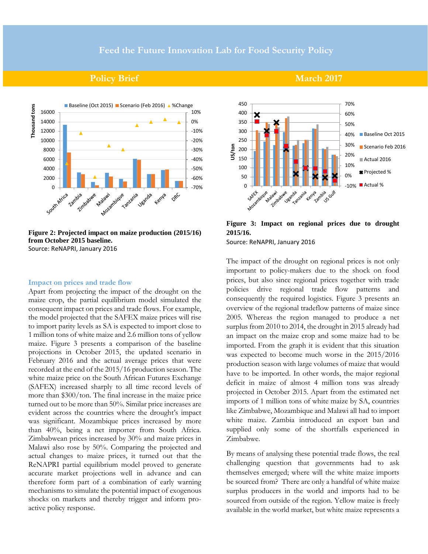### **Policy Brief March 2017**



**Figure 2: Projected impact on maize production (2015/16) from October 2015 baseline.** Source: ReNAPRI, January 2016

#### **Impact on prices and trade flow**

Apart from projecting the impact of the drought on the maize crop, the partial equilibrium model simulated the consequent impact on prices and trade flows. For example, the model projected that the SAFEX maize prices will rise to import parity levels as SA is expected to import close to 1 million tons of white maize and 2.6 million tons of yellow maize. Figure 3 presents a comparison of the baseline projections in October 2015, the updated scenario in February 2016 and the actual average prices that were recorded at the end of the 2015/16 production season. The white maize price on the South African Futures Exchange (SAFEX) increased sharply to all time record levels of more than \$300/ton. The final increase in the maize price turned out to be more than 50%. Similar price increases are evident across the countries where the drought's impact was significant. Mozambique prices increased by more than 40%, being a net importer from South Africa. Zimbabwean prices increased by 30% and maize prices in Malawi also rose by 50%. Comparing the projected and actual changes to maize prices, it turned out that the ReNAPRI partial equilibrium model proved to generate accurate market projections well in advance and can therefore form part of a combination of early warning mechanisms to simulate the potential impact of exogenous shocks on markets and thereby trigger and inform proactive policy response.

#### 450 70% 400 60% 350 50% 300 Baseline Oct 2015 40% 250 30% **US/ton** Scenario Feb 2016 200 20% 150 Actual 2016 10% 100 Projected % 0% 50 o - Skit-sjave -10% Actual %Jia Gulf **Malawi** ziowi obwe Jeanda Inda Inia Na pribis Renya

## **Figure 3: Impact on regional prices due to drought 2015/16.**

Source: ReNAPRI, January 2016

The impact of the drought on regional prices is not only important to policy-makers due to the shock on food prices, but also since regional prices together with trade policies drive regional trade flow patterns and consequently the required logistics. Figure 3 presents an overview of the regional tradeflow patterns of maize since 2005. Whereas the region managed to produce a net surplus from 2010 to 2014, the drought in 2015 already had an impact on the maize crop and some maize had to be imported. From the graph it is evident that this situation was expected to become much worse in the 2015/2016 production season with large volumes of maize that would have to be imported. In other words, the major regional deficit in maize of almost 4 million tons was already projected in October 2015. Apart from the estimated net imports of 1 million tons of white maize by SA, countries like Zimbabwe, Mozambique and Malawi all had to import white maize. Zambia introduced an export ban and supplied only some of the shortfalls experienced in Zimbabwe.

By means of analysing these potential trade flows, the real challenging question that governments had to ask themselves emerged; where will the white maize imports be sourced from? There are only a handful of white maize surplus producers in the world and imports had to be sourced from outside of the region. Yellow maize is freely available in the world market, but white maize represents a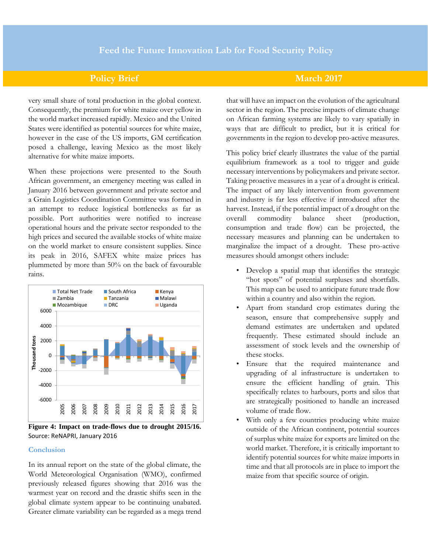## **Policy Brief March 2017**

very small share of total production in the global context. Consequently, the premium for white maize over yellow in the world market increased rapidly. Mexico and the United States were identified as potential sources for white maize, however in the case of the US imports, GM certification posed a challenge, leaving Mexico as the most likely alternative for white maize imports.

When these projections were presented to the South African government, an emergency meeting was called in January 2016 between government and private sector and a Grain Logistics Coordination Committee was formed in an attempt to reduce logistical bottlenecks as far as possible. Port authorities were notified to increase operational hours and the private sector responded to the high prices and secured the available stocks of white maize on the world market to ensure consistent supplies. Since its peak in 2016, SAFEX white maize prices has plummeted by more than 50% on the back of favourable rains.



**Figure 4: Impact on trade-flows due to drought 2015/16.**  Source: ReNAPRI, January 2016

#### **Conclusion**

In its annual report on the state of the global climate, the World Meteorological Organisation (WMO), confirmed previously released figures showing that 2016 was the warmest year on record and the drastic shifts seen in the global climate system appear to be continuing unabated. Greater climate variability can be regarded as a mega trend

that will have an impact on the evolution of the agricultural sector in the region. The precise impacts of climate change on African farming systems are likely to vary spatially in ways that are difficult to predict, but it is critical for governments in the region to develop pro-active measures.

This policy brief clearly illustrates the value of the partial equilibrium framework as a tool to trigger and guide necessary interventions by policymakers and private sector. Taking proactive measures in a year of a drought is critical. The impact of any likely intervention from government and industry is far less effective if introduced after the harvest. Instead, if the potential impact of a drought on the overall commodity balance sheet (production, consumption and trade flow) can be projected, the necessary measures and planning can be undertaken to marginalize the impact of a drought. These pro-active measures should amongst others include:

- Develop a spatial map that identifies the strategic "hot spots" of potential surpluses and shortfalls. This map can be used to anticipate future trade flow within a country and also within the region.
- Apart from standard crop estimates during the season, ensure that comprehensive supply and demand estimates are undertaken and updated frequently. These estimated should include an assessment of stock levels and the ownership of these stocks.
- Ensure that the required maintenance and upgrading of al infrastructure is undertaken to ensure the efficient handling of grain. This specifically relates to harbours, ports and silos that are strategically positioned to handle an increased volume of trade flow.
- With only a few countries producing white maize outside of the African continent, potential sources of surplus white maize for exports are limited on the world market. Therefore, it is critically important to identify potential sources for white maize imports in time and that all protocols are in place to import the maize from that specific source of origin.